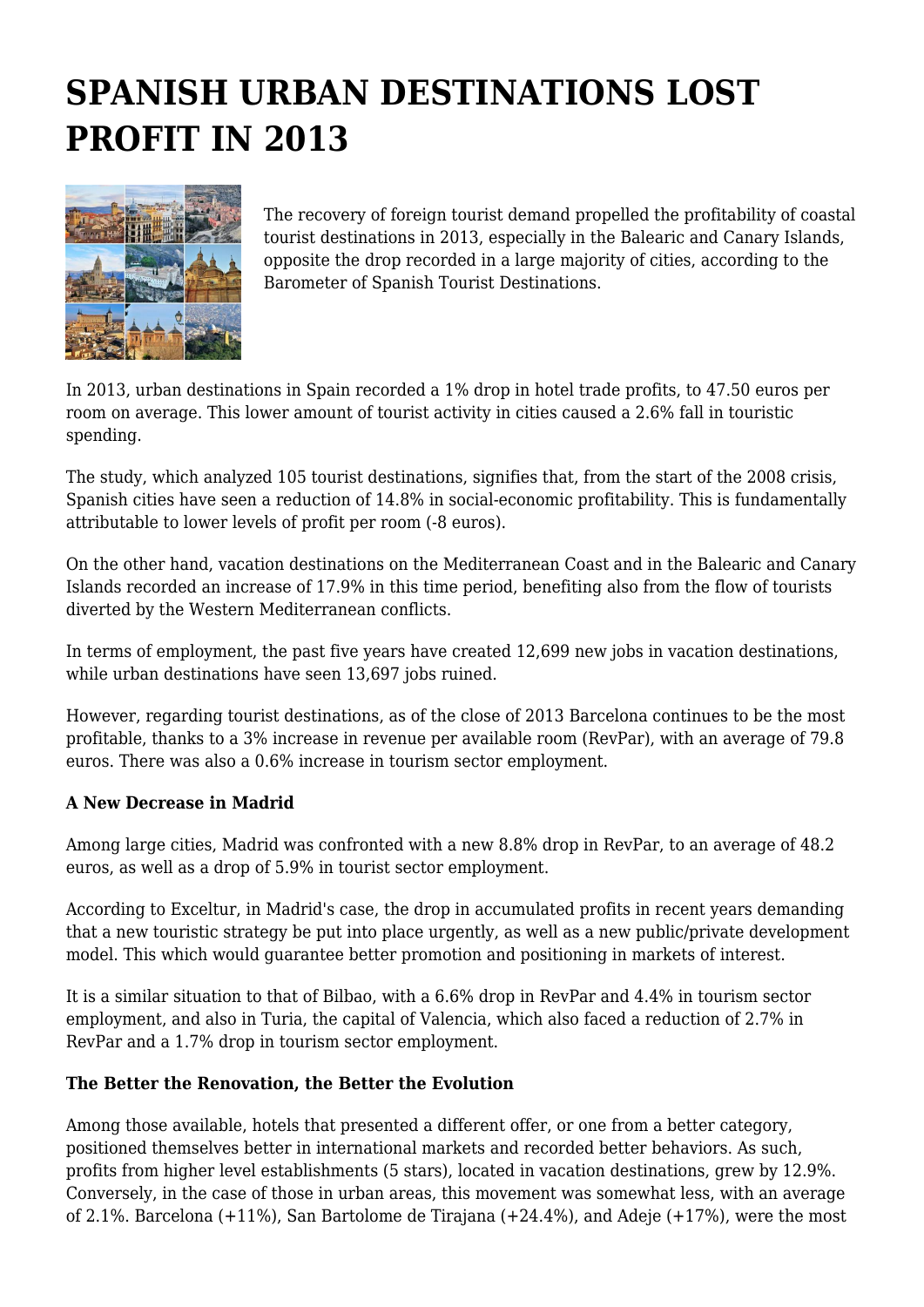## **SPANISH URBAN DESTINATIONS LOST PROFIT IN 2013**



The recovery of foreign tourist demand propelled the profitability of coastal tourist destinations in 2013, especially in the Balearic and Canary Islands, opposite the drop recorded in a large majority of cities, according to the Barometer of Spanish Tourist Destinations.

In 2013, urban destinations in Spain recorded a 1% drop in hotel trade profits, to 47.50 euros per room on average. This lower amount of tourist activity in cities caused a 2.6% fall in touristic spending.

The study, which analyzed 105 tourist destinations, signifies that, from the start of the 2008 crisis, Spanish cities have seen a reduction of 14.8% in social-economic profitability. This is fundamentally attributable to lower levels of profit per room (-8 euros).

On the other hand, vacation destinations on the Mediterranean Coast and in the Balearic and Canary Islands recorded an increase of 17.9% in this time period, benefiting also from the flow of tourists diverted by the Western Mediterranean conflicts.

In terms of employment, the past five years have created 12,699 new jobs in vacation destinations, while urban destinations have seen 13,697 jobs ruined.

However, regarding tourist destinations, as of the close of 2013 Barcelona continues to be the most profitable, thanks to a 3% increase in revenue per available room (RevPar), with an average of 79.8 euros. There was also a 0.6% increase in tourism sector employment.

## **A New Decrease in Madrid**

Among large cities, Madrid was confronted with a new 8.8% drop in RevPar, to an average of 48.2 euros, as well as a drop of 5.9% in tourist sector employment.

According to Exceltur, in Madrid's case, the drop in accumulated profits in recent years demanding that a new touristic strategy be put into place urgently, as well as a new public/private development model. This which would guarantee better promotion and positioning in markets of interest.

It is a similar situation to that of Bilbao, with a 6.6% drop in RevPar and 4.4% in tourism sector employment, and also in Turia, the capital of Valencia, which also faced a reduction of 2.7% in RevPar and a 1.7% drop in tourism sector employment.

## **The Better the Renovation, the Better the Evolution**

Among those available, hotels that presented a different offer, or one from a better category, positioned themselves better in international markets and recorded better behaviors. As such, profits from higher level establishments (5 stars), located in vacation destinations, grew by 12.9%. Conversely, in the case of those in urban areas, this movement was somewhat less, with an average of 2.1%. Barcelona (+11%), San Bartolome de Tirajana (+24.4%), and Adeje (+17%), were the most